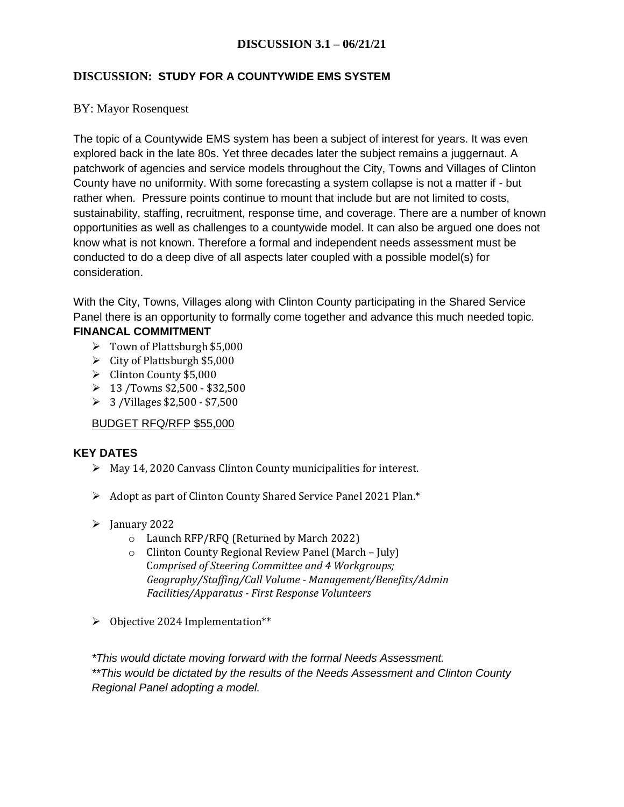## **DISCUSSION: STUDY FOR A COUNTYWIDE EMS SYSTEM**

### BY: Mayor Rosenquest

The topic of a Countywide EMS system has been a subject of interest for years. It was even explored back in the late 80s. Yet three decades later the subject remains a juggernaut. A patchwork of agencies and service models throughout the City, Towns and Villages of Clinton County have no uniformity. With some forecasting a system collapse is not a matter if - but rather when. Pressure points continue to mount that include but are not limited to costs, sustainability, staffing, recruitment, response time, and coverage. There are a number of known opportunities as well as challenges to a countywide model. It can also be argued one does not know what is not known. Therefore a formal and independent needs assessment must be conducted to do a deep dive of all aspects later coupled with a possible model(s) for consideration.

With the City, Towns, Villages along with Clinton County participating in the Shared Service Panel there is an opportunity to formally come together and advance this much needed topic. **FINANCAL COMMITMENT** 

- $\triangleright$  Town of Plattsburgh \$5,000
- $\triangleright$  City of Plattsburgh \$5,000
- $\blacktriangleright$  Clinton County \$5,000
- $\geq 13$  /Towns \$2,500 \$32,500
- $\geq$  3/Villages \$2,500 \$7,500

## BUDGET RFQ/RFP \$55,000

#### **KEY DATES**

- $\triangleright$  May 14, 2020 Canvass Clinton County municipalities for interest.
- Adopt as part of Clinton County Shared Service Panel 2021 Plan.\*
- $\blacktriangleright$  January 2022
	- o Launch RFP/RFQ (Returned by March 2022)
	- o Clinton County Regional Review Panel (March July) C*omprised of Steering Committee and 4 Workgroups; Geography/Staffing/Call Volume - Management/Benefits/Admin Facilities/Apparatus - First Response Volunteers*
- $\triangleright$  Objective 2024 Implementation\*\*

*\*This would dictate moving forward with the formal Needs Assessment. \*\*This would be dictated by the results of the Needs Assessment and Clinton County Regional Panel adopting a model.*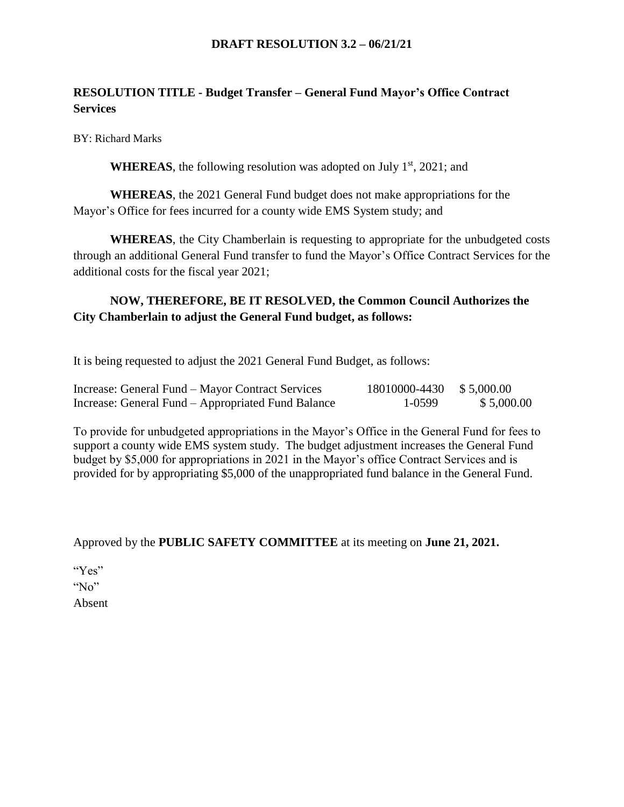### **DRAFT RESOLUTION 3.2 – 06/21/21**

# **RESOLUTION TITLE - Budget Transfer – General Fund Mayor's Office Contract Services**

BY: Richard Marks

**WHEREAS**, the following resolution was adopted on July  $1<sup>st</sup>$ , 2021; and

**WHEREAS**, the 2021 General Fund budget does not make appropriations for the Mayor's Office for fees incurred for a county wide EMS System study; and

**WHEREAS**, the City Chamberlain is requesting to appropriate for the unbudgeted costs through an additional General Fund transfer to fund the Mayor's Office Contract Services for the additional costs for the fiscal year 2021;

# **NOW, THEREFORE, BE IT RESOLVED, the Common Council Authorizes the City Chamberlain to adjust the General Fund budget, as follows:**

It is being requested to adjust the 2021 General Fund Budget, as follows:

| Increase: General Fund – Mayor Contract Services   | 18010000-4430 \$5,000.00 |            |
|----------------------------------------------------|--------------------------|------------|
| Increase: General Fund – Appropriated Fund Balance | 1-0599                   | \$5,000.00 |

To provide for unbudgeted appropriations in the Mayor's Office in the General Fund for fees to support a county wide EMS system study. The budget adjustment increases the General Fund budget by \$5,000 for appropriations in 2021 in the Mayor's office Contract Services and is provided for by appropriating \$5,000 of the unappropriated fund balance in the General Fund.

## Approved by the **PUBLIC SAFETY COMMITTEE** at its meeting on **June 21, 2021.**

"Yes" "No" Absent